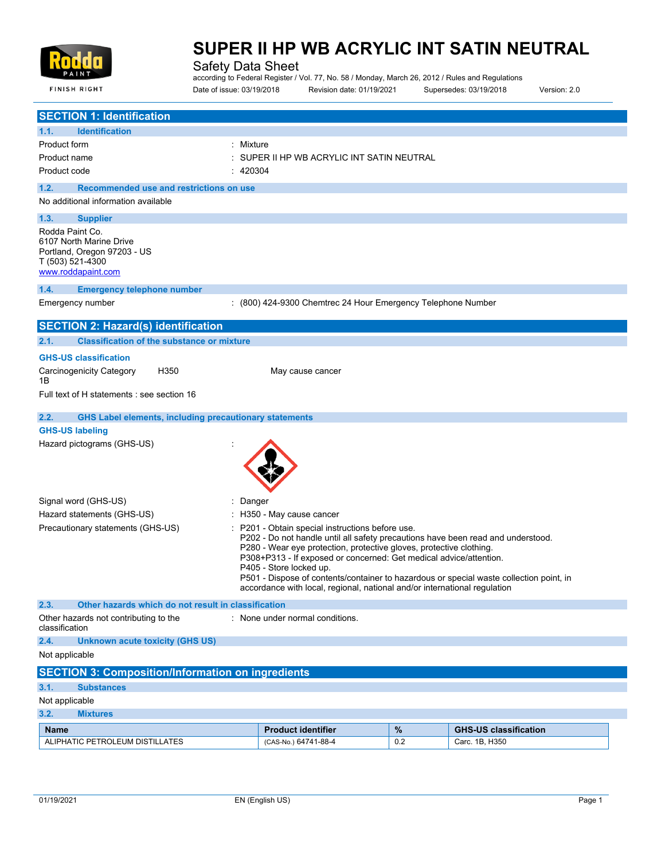

**FINISH RIGHT** 

# **SUPER II HP WB ACRYLIC INT SATIN NEUTRAL**

Safety Data Sheet

according to Federal Register / Vol. 77, No. 58 / Monday, March 26, 2012 / Rules and Regulations Date of issue: 03/19/2018 Revision date: 01/19/2021 Supersedes: 03/19/2018 Version: 2.0

| <b>SECTION 1: Identification</b>                                                                                    |                                                                                                                                                                                                                                                                                                                                                                                                                                                                                    |      |                              |
|---------------------------------------------------------------------------------------------------------------------|------------------------------------------------------------------------------------------------------------------------------------------------------------------------------------------------------------------------------------------------------------------------------------------------------------------------------------------------------------------------------------------------------------------------------------------------------------------------------------|------|------------------------------|
| 1.1.<br><b>Identification</b>                                                                                       |                                                                                                                                                                                                                                                                                                                                                                                                                                                                                    |      |                              |
| : Mixture<br>Product form                                                                                           |                                                                                                                                                                                                                                                                                                                                                                                                                                                                                    |      |                              |
| Product name                                                                                                        | SUPER II HP WB ACRYLIC INT SATIN NEUTRAL                                                                                                                                                                                                                                                                                                                                                                                                                                           |      |                              |
| Product code<br>420304                                                                                              |                                                                                                                                                                                                                                                                                                                                                                                                                                                                                    |      |                              |
| 1.2.<br>Recommended use and restrictions on use                                                                     |                                                                                                                                                                                                                                                                                                                                                                                                                                                                                    |      |                              |
| No additional information available                                                                                 |                                                                                                                                                                                                                                                                                                                                                                                                                                                                                    |      |                              |
| 1.3.<br><b>Supplier</b>                                                                                             |                                                                                                                                                                                                                                                                                                                                                                                                                                                                                    |      |                              |
| Rodda Paint Co.<br>6107 North Marine Drive<br>Portland, Oregon 97203 - US<br>T (503) 521-4300<br>www.roddapaint.com |                                                                                                                                                                                                                                                                                                                                                                                                                                                                                    |      |                              |
| 1.4.<br><b>Emergency telephone number</b>                                                                           |                                                                                                                                                                                                                                                                                                                                                                                                                                                                                    |      |                              |
| Emergency number                                                                                                    | : (800) 424-9300 Chemtrec 24 Hour Emergency Telephone Number                                                                                                                                                                                                                                                                                                                                                                                                                       |      |                              |
| <b>SECTION 2: Hazard(s) identification</b>                                                                          |                                                                                                                                                                                                                                                                                                                                                                                                                                                                                    |      |                              |
| <b>Classification of the substance or mixture</b><br>2.1.                                                           |                                                                                                                                                                                                                                                                                                                                                                                                                                                                                    |      |                              |
| <b>GHS-US classification</b>                                                                                        |                                                                                                                                                                                                                                                                                                                                                                                                                                                                                    |      |                              |
| <b>Carcinogenicity Category</b><br>H <sub>350</sub><br>1B                                                           | May cause cancer                                                                                                                                                                                                                                                                                                                                                                                                                                                                   |      |                              |
| Full text of H statements : see section 16                                                                          |                                                                                                                                                                                                                                                                                                                                                                                                                                                                                    |      |                              |
| 2.2.<br><b>GHS Label elements, including precautionary statements</b>                                               |                                                                                                                                                                                                                                                                                                                                                                                                                                                                                    |      |                              |
| <b>GHS-US labeling</b>                                                                                              |                                                                                                                                                                                                                                                                                                                                                                                                                                                                                    |      |                              |
| Hazard pictograms (GHS-US)                                                                                          |                                                                                                                                                                                                                                                                                                                                                                                                                                                                                    |      |                              |
| Signal word (GHS-US)<br>Danger                                                                                      |                                                                                                                                                                                                                                                                                                                                                                                                                                                                                    |      |                              |
| Hazard statements (GHS-US)                                                                                          | H350 - May cause cancer                                                                                                                                                                                                                                                                                                                                                                                                                                                            |      |                              |
| Precautionary statements (GHS-US)                                                                                   | P201 - Obtain special instructions before use.<br>P202 - Do not handle until all safety precautions have been read and understood.<br>P280 - Wear eye protection, protective gloves, protective clothing.<br>P308+P313 - If exposed or concerned: Get medical advice/attention.<br>P405 - Store locked up.<br>P501 - Dispose of contents/container to hazardous or special waste collection point, in<br>accordance with local, regional, national and/or international regulation |      |                              |
| 2.3.<br>Other hazards which do not result in classification                                                         |                                                                                                                                                                                                                                                                                                                                                                                                                                                                                    |      |                              |
| Other hazards not contributing to the<br>classification                                                             | : None under normal conditions.                                                                                                                                                                                                                                                                                                                                                                                                                                                    |      |                              |
| 2.4.<br><b>Unknown acute toxicity (GHS US)</b>                                                                      |                                                                                                                                                                                                                                                                                                                                                                                                                                                                                    |      |                              |
| Not applicable                                                                                                      |                                                                                                                                                                                                                                                                                                                                                                                                                                                                                    |      |                              |
| <b>SECTION 3: Composition/Information on ingredients</b>                                                            |                                                                                                                                                                                                                                                                                                                                                                                                                                                                                    |      |                              |
| 3.1.<br><b>Substances</b>                                                                                           |                                                                                                                                                                                                                                                                                                                                                                                                                                                                                    |      |                              |
| Not applicable                                                                                                      |                                                                                                                                                                                                                                                                                                                                                                                                                                                                                    |      |                              |
| 3.2.<br><b>Mixtures</b>                                                                                             |                                                                                                                                                                                                                                                                                                                                                                                                                                                                                    |      |                              |
| <b>Name</b>                                                                                                         | <b>Product identifier</b>                                                                                                                                                                                                                                                                                                                                                                                                                                                          | $\%$ | <b>GHS-US classification</b> |
| ALIPHATIC PETROLEUM DISTILLATES                                                                                     | (CAS-No.) 64741-88-4                                                                                                                                                                                                                                                                                                                                                                                                                                                               | 0.2  | Carc. 1B, H350               |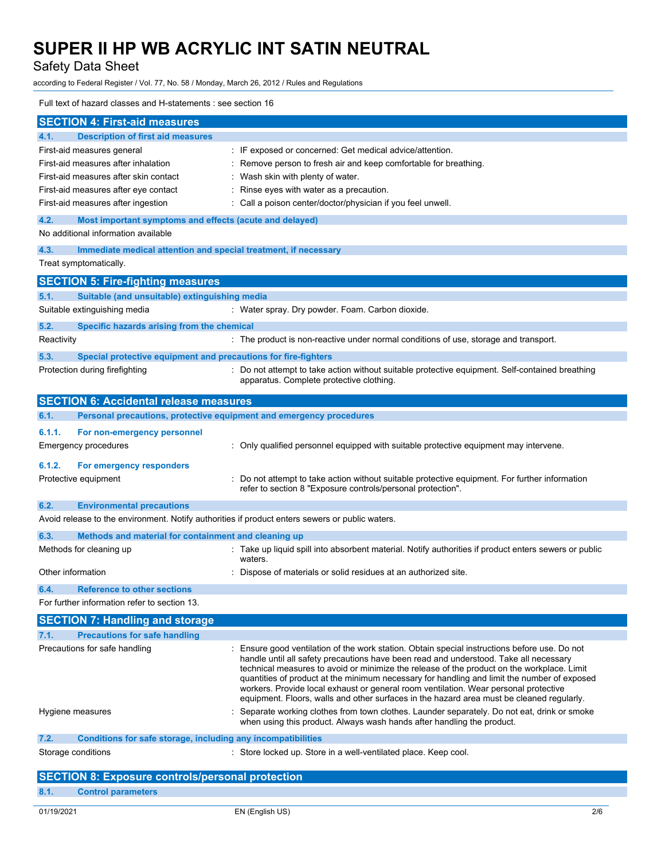Safety Data Sheet

according to Federal Register / Vol. 77, No. 58 / Monday, March 26, 2012 / Rules and Regulations

## Full text of hazard classes and H-statements : see section 16

| <b>Description of first aid measures</b><br>4.1.<br>: IF exposed or concerned: Get medical advice/attention.<br>First-aid measures general<br>First-aid measures after inhalation<br>: Remove person to fresh air and keep comfortable for breathing.<br>First-aid measures after skin contact<br>: Wash skin with plenty of water.<br>First-aid measures after eye contact<br>: Rinse eyes with water as a precaution.<br>: Call a poison center/doctor/physician if you feel unwell.<br>First-aid measures after ingestion<br>4.2.<br>Most important symptoms and effects (acute and delayed)<br>No additional information available<br>4.3.<br>Immediate medical attention and special treatment, if necessary<br>Treat symptomatically.<br><b>SECTION 5: Fire-fighting measures</b><br>Suitable (and unsuitable) extinguishing media<br>5.1.<br>Suitable extinguishing media<br>: Water spray. Dry powder. Foam. Carbon dioxide.<br>5.2.<br>Specific hazards arising from the chemical<br>: The product is non-reactive under normal conditions of use, storage and transport.<br>Reactivity<br>5.3.<br>Special protective equipment and precautions for fire-fighters<br>: Do not attempt to take action without suitable protective equipment. Self-contained breathing<br>Protection during firefighting<br>apparatus. Complete protective clothing.<br><b>SECTION 6: Accidental release measures</b><br>Personal precautions, protective equipment and emergency procedures<br>6.1.<br>6.1.1.<br>For non-emergency personnel<br>: Only qualified personnel equipped with suitable protective equipment may intervene.<br>Emergency procedures<br>6.1.2.<br>For emergency responders<br>: Do not attempt to take action without suitable protective equipment. For further information<br>Protective equipment<br>refer to section 8 "Exposure controls/personal protection".<br>6.2.<br><b>Environmental precautions</b><br>Avoid release to the environment. Notify authorities if product enters sewers or public waters.<br>Methods and material for containment and cleaning up<br>6.3.<br>: Take up liquid spill into absorbent material. Notify authorities if product enters sewers or public<br>Methods for cleaning up<br>waters.<br>Other information<br>: Dispose of materials or solid residues at an authorized site.<br>6.4.<br><b>Reference to other sections</b><br>For further information refer to section 13.<br><b>SECTION 7: Handling and storage</b><br><b>Precautions for safe handling</b><br>7.1.<br>Precautions for safe handling<br>: Ensure good ventilation of the work station. Obtain special instructions before use. Do not<br>handle until all safety precautions have been read and understood. Take all necessary<br>technical measures to avoid or minimize the release of the product on the workplace. Limit<br>quantities of product at the minimum necessary for handling and limit the number of exposed<br>workers. Provide local exhaust or general room ventilation. Wear personal protective<br>equipment. Floors, walls and other surfaces in the hazard area must be cleaned regularly.<br>Separate working clothes from town clothes. Launder separately. Do not eat, drink or smoke<br>Hygiene measures<br>when using this product. Always wash hands after handling the product.<br>7.2.<br>Conditions for safe storage, including any incompatibilities<br>Storage conditions<br>: Store locked up. Store in a well-ventilated place. Keep cool. | <b>SECTION 4: First-aid measures</b>                    |  |
|--------------------------------------------------------------------------------------------------------------------------------------------------------------------------------------------------------------------------------------------------------------------------------------------------------------------------------------------------------------------------------------------------------------------------------------------------------------------------------------------------------------------------------------------------------------------------------------------------------------------------------------------------------------------------------------------------------------------------------------------------------------------------------------------------------------------------------------------------------------------------------------------------------------------------------------------------------------------------------------------------------------------------------------------------------------------------------------------------------------------------------------------------------------------------------------------------------------------------------------------------------------------------------------------------------------------------------------------------------------------------------------------------------------------------------------------------------------------------------------------------------------------------------------------------------------------------------------------------------------------------------------------------------------------------------------------------------------------------------------------------------------------------------------------------------------------------------------------------------------------------------------------------------------------------------------------------------------------------------------------------------------------------------------------------------------------------------------------------------------------------------------------------------------------------------------------------------------------------------------------------------------------------------------------------------------------------------------------------------------------------------------------------------------------------------------------------------------------------------------------------------------------------------------------------------------------------------------------------------------------------------------------------------------------------------------------------------------------------------------------------------------------------------------------------------------------------------------------------------------------------------------------------------------------------------------------------------------------------------------------------------------------------------------------------------------------------------------------------------------------------------------------------------------------------------------------------------------------------------------------------------------------------------------------------------------------------------------------------------------------------------------------------------------------------------------------------------------------------------------------------------------|---------------------------------------------------------|--|
|                                                                                                                                                                                                                                                                                                                                                                                                                                                                                                                                                                                                                                                                                                                                                                                                                                                                                                                                                                                                                                                                                                                                                                                                                                                                                                                                                                                                                                                                                                                                                                                                                                                                                                                                                                                                                                                                                                                                                                                                                                                                                                                                                                                                                                                                                                                                                                                                                                                                                                                                                                                                                                                                                                                                                                                                                                                                                                                                                                                                                                                                                                                                                                                                                                                                                                                                                                                                                                                                                                              |                                                         |  |
|                                                                                                                                                                                                                                                                                                                                                                                                                                                                                                                                                                                                                                                                                                                                                                                                                                                                                                                                                                                                                                                                                                                                                                                                                                                                                                                                                                                                                                                                                                                                                                                                                                                                                                                                                                                                                                                                                                                                                                                                                                                                                                                                                                                                                                                                                                                                                                                                                                                                                                                                                                                                                                                                                                                                                                                                                                                                                                                                                                                                                                                                                                                                                                                                                                                                                                                                                                                                                                                                                                              |                                                         |  |
|                                                                                                                                                                                                                                                                                                                                                                                                                                                                                                                                                                                                                                                                                                                                                                                                                                                                                                                                                                                                                                                                                                                                                                                                                                                                                                                                                                                                                                                                                                                                                                                                                                                                                                                                                                                                                                                                                                                                                                                                                                                                                                                                                                                                                                                                                                                                                                                                                                                                                                                                                                                                                                                                                                                                                                                                                                                                                                                                                                                                                                                                                                                                                                                                                                                                                                                                                                                                                                                                                                              |                                                         |  |
|                                                                                                                                                                                                                                                                                                                                                                                                                                                                                                                                                                                                                                                                                                                                                                                                                                                                                                                                                                                                                                                                                                                                                                                                                                                                                                                                                                                                                                                                                                                                                                                                                                                                                                                                                                                                                                                                                                                                                                                                                                                                                                                                                                                                                                                                                                                                                                                                                                                                                                                                                                                                                                                                                                                                                                                                                                                                                                                                                                                                                                                                                                                                                                                                                                                                                                                                                                                                                                                                                                              |                                                         |  |
|                                                                                                                                                                                                                                                                                                                                                                                                                                                                                                                                                                                                                                                                                                                                                                                                                                                                                                                                                                                                                                                                                                                                                                                                                                                                                                                                                                                                                                                                                                                                                                                                                                                                                                                                                                                                                                                                                                                                                                                                                                                                                                                                                                                                                                                                                                                                                                                                                                                                                                                                                                                                                                                                                                                                                                                                                                                                                                                                                                                                                                                                                                                                                                                                                                                                                                                                                                                                                                                                                                              |                                                         |  |
|                                                                                                                                                                                                                                                                                                                                                                                                                                                                                                                                                                                                                                                                                                                                                                                                                                                                                                                                                                                                                                                                                                                                                                                                                                                                                                                                                                                                                                                                                                                                                                                                                                                                                                                                                                                                                                                                                                                                                                                                                                                                                                                                                                                                                                                                                                                                                                                                                                                                                                                                                                                                                                                                                                                                                                                                                                                                                                                                                                                                                                                                                                                                                                                                                                                                                                                                                                                                                                                                                                              |                                                         |  |
|                                                                                                                                                                                                                                                                                                                                                                                                                                                                                                                                                                                                                                                                                                                                                                                                                                                                                                                                                                                                                                                                                                                                                                                                                                                                                                                                                                                                                                                                                                                                                                                                                                                                                                                                                                                                                                                                                                                                                                                                                                                                                                                                                                                                                                                                                                                                                                                                                                                                                                                                                                                                                                                                                                                                                                                                                                                                                                                                                                                                                                                                                                                                                                                                                                                                                                                                                                                                                                                                                                              |                                                         |  |
|                                                                                                                                                                                                                                                                                                                                                                                                                                                                                                                                                                                                                                                                                                                                                                                                                                                                                                                                                                                                                                                                                                                                                                                                                                                                                                                                                                                                                                                                                                                                                                                                                                                                                                                                                                                                                                                                                                                                                                                                                                                                                                                                                                                                                                                                                                                                                                                                                                                                                                                                                                                                                                                                                                                                                                                                                                                                                                                                                                                                                                                                                                                                                                                                                                                                                                                                                                                                                                                                                                              |                                                         |  |
|                                                                                                                                                                                                                                                                                                                                                                                                                                                                                                                                                                                                                                                                                                                                                                                                                                                                                                                                                                                                                                                                                                                                                                                                                                                                                                                                                                                                                                                                                                                                                                                                                                                                                                                                                                                                                                                                                                                                                                                                                                                                                                                                                                                                                                                                                                                                                                                                                                                                                                                                                                                                                                                                                                                                                                                                                                                                                                                                                                                                                                                                                                                                                                                                                                                                                                                                                                                                                                                                                                              |                                                         |  |
|                                                                                                                                                                                                                                                                                                                                                                                                                                                                                                                                                                                                                                                                                                                                                                                                                                                                                                                                                                                                                                                                                                                                                                                                                                                                                                                                                                                                                                                                                                                                                                                                                                                                                                                                                                                                                                                                                                                                                                                                                                                                                                                                                                                                                                                                                                                                                                                                                                                                                                                                                                                                                                                                                                                                                                                                                                                                                                                                                                                                                                                                                                                                                                                                                                                                                                                                                                                                                                                                                                              |                                                         |  |
|                                                                                                                                                                                                                                                                                                                                                                                                                                                                                                                                                                                                                                                                                                                                                                                                                                                                                                                                                                                                                                                                                                                                                                                                                                                                                                                                                                                                                                                                                                                                                                                                                                                                                                                                                                                                                                                                                                                                                                                                                                                                                                                                                                                                                                                                                                                                                                                                                                                                                                                                                                                                                                                                                                                                                                                                                                                                                                                                                                                                                                                                                                                                                                                                                                                                                                                                                                                                                                                                                                              |                                                         |  |
|                                                                                                                                                                                                                                                                                                                                                                                                                                                                                                                                                                                                                                                                                                                                                                                                                                                                                                                                                                                                                                                                                                                                                                                                                                                                                                                                                                                                                                                                                                                                                                                                                                                                                                                                                                                                                                                                                                                                                                                                                                                                                                                                                                                                                                                                                                                                                                                                                                                                                                                                                                                                                                                                                                                                                                                                                                                                                                                                                                                                                                                                                                                                                                                                                                                                                                                                                                                                                                                                                                              |                                                         |  |
|                                                                                                                                                                                                                                                                                                                                                                                                                                                                                                                                                                                                                                                                                                                                                                                                                                                                                                                                                                                                                                                                                                                                                                                                                                                                                                                                                                                                                                                                                                                                                                                                                                                                                                                                                                                                                                                                                                                                                                                                                                                                                                                                                                                                                                                                                                                                                                                                                                                                                                                                                                                                                                                                                                                                                                                                                                                                                                                                                                                                                                                                                                                                                                                                                                                                                                                                                                                                                                                                                                              |                                                         |  |
|                                                                                                                                                                                                                                                                                                                                                                                                                                                                                                                                                                                                                                                                                                                                                                                                                                                                                                                                                                                                                                                                                                                                                                                                                                                                                                                                                                                                                                                                                                                                                                                                                                                                                                                                                                                                                                                                                                                                                                                                                                                                                                                                                                                                                                                                                                                                                                                                                                                                                                                                                                                                                                                                                                                                                                                                                                                                                                                                                                                                                                                                                                                                                                                                                                                                                                                                                                                                                                                                                                              |                                                         |  |
|                                                                                                                                                                                                                                                                                                                                                                                                                                                                                                                                                                                                                                                                                                                                                                                                                                                                                                                                                                                                                                                                                                                                                                                                                                                                                                                                                                                                                                                                                                                                                                                                                                                                                                                                                                                                                                                                                                                                                                                                                                                                                                                                                                                                                                                                                                                                                                                                                                                                                                                                                                                                                                                                                                                                                                                                                                                                                                                                                                                                                                                                                                                                                                                                                                                                                                                                                                                                                                                                                                              |                                                         |  |
|                                                                                                                                                                                                                                                                                                                                                                                                                                                                                                                                                                                                                                                                                                                                                                                                                                                                                                                                                                                                                                                                                                                                                                                                                                                                                                                                                                                                                                                                                                                                                                                                                                                                                                                                                                                                                                                                                                                                                                                                                                                                                                                                                                                                                                                                                                                                                                                                                                                                                                                                                                                                                                                                                                                                                                                                                                                                                                                                                                                                                                                                                                                                                                                                                                                                                                                                                                                                                                                                                                              |                                                         |  |
|                                                                                                                                                                                                                                                                                                                                                                                                                                                                                                                                                                                                                                                                                                                                                                                                                                                                                                                                                                                                                                                                                                                                                                                                                                                                                                                                                                                                                                                                                                                                                                                                                                                                                                                                                                                                                                                                                                                                                                                                                                                                                                                                                                                                                                                                                                                                                                                                                                                                                                                                                                                                                                                                                                                                                                                                                                                                                                                                                                                                                                                                                                                                                                                                                                                                                                                                                                                                                                                                                                              |                                                         |  |
|                                                                                                                                                                                                                                                                                                                                                                                                                                                                                                                                                                                                                                                                                                                                                                                                                                                                                                                                                                                                                                                                                                                                                                                                                                                                                                                                                                                                                                                                                                                                                                                                                                                                                                                                                                                                                                                                                                                                                                                                                                                                                                                                                                                                                                                                                                                                                                                                                                                                                                                                                                                                                                                                                                                                                                                                                                                                                                                                                                                                                                                                                                                                                                                                                                                                                                                                                                                                                                                                                                              |                                                         |  |
|                                                                                                                                                                                                                                                                                                                                                                                                                                                                                                                                                                                                                                                                                                                                                                                                                                                                                                                                                                                                                                                                                                                                                                                                                                                                                                                                                                                                                                                                                                                                                                                                                                                                                                                                                                                                                                                                                                                                                                                                                                                                                                                                                                                                                                                                                                                                                                                                                                                                                                                                                                                                                                                                                                                                                                                                                                                                                                                                                                                                                                                                                                                                                                                                                                                                                                                                                                                                                                                                                                              |                                                         |  |
|                                                                                                                                                                                                                                                                                                                                                                                                                                                                                                                                                                                                                                                                                                                                                                                                                                                                                                                                                                                                                                                                                                                                                                                                                                                                                                                                                                                                                                                                                                                                                                                                                                                                                                                                                                                                                                                                                                                                                                                                                                                                                                                                                                                                                                                                                                                                                                                                                                                                                                                                                                                                                                                                                                                                                                                                                                                                                                                                                                                                                                                                                                                                                                                                                                                                                                                                                                                                                                                                                                              |                                                         |  |
|                                                                                                                                                                                                                                                                                                                                                                                                                                                                                                                                                                                                                                                                                                                                                                                                                                                                                                                                                                                                                                                                                                                                                                                                                                                                                                                                                                                                                                                                                                                                                                                                                                                                                                                                                                                                                                                                                                                                                                                                                                                                                                                                                                                                                                                                                                                                                                                                                                                                                                                                                                                                                                                                                                                                                                                                                                                                                                                                                                                                                                                                                                                                                                                                                                                                                                                                                                                                                                                                                                              |                                                         |  |
|                                                                                                                                                                                                                                                                                                                                                                                                                                                                                                                                                                                                                                                                                                                                                                                                                                                                                                                                                                                                                                                                                                                                                                                                                                                                                                                                                                                                                                                                                                                                                                                                                                                                                                                                                                                                                                                                                                                                                                                                                                                                                                                                                                                                                                                                                                                                                                                                                                                                                                                                                                                                                                                                                                                                                                                                                                                                                                                                                                                                                                                                                                                                                                                                                                                                                                                                                                                                                                                                                                              |                                                         |  |
|                                                                                                                                                                                                                                                                                                                                                                                                                                                                                                                                                                                                                                                                                                                                                                                                                                                                                                                                                                                                                                                                                                                                                                                                                                                                                                                                                                                                                                                                                                                                                                                                                                                                                                                                                                                                                                                                                                                                                                                                                                                                                                                                                                                                                                                                                                                                                                                                                                                                                                                                                                                                                                                                                                                                                                                                                                                                                                                                                                                                                                                                                                                                                                                                                                                                                                                                                                                                                                                                                                              |                                                         |  |
|                                                                                                                                                                                                                                                                                                                                                                                                                                                                                                                                                                                                                                                                                                                                                                                                                                                                                                                                                                                                                                                                                                                                                                                                                                                                                                                                                                                                                                                                                                                                                                                                                                                                                                                                                                                                                                                                                                                                                                                                                                                                                                                                                                                                                                                                                                                                                                                                                                                                                                                                                                                                                                                                                                                                                                                                                                                                                                                                                                                                                                                                                                                                                                                                                                                                                                                                                                                                                                                                                                              |                                                         |  |
|                                                                                                                                                                                                                                                                                                                                                                                                                                                                                                                                                                                                                                                                                                                                                                                                                                                                                                                                                                                                                                                                                                                                                                                                                                                                                                                                                                                                                                                                                                                                                                                                                                                                                                                                                                                                                                                                                                                                                                                                                                                                                                                                                                                                                                                                                                                                                                                                                                                                                                                                                                                                                                                                                                                                                                                                                                                                                                                                                                                                                                                                                                                                                                                                                                                                                                                                                                                                                                                                                                              |                                                         |  |
|                                                                                                                                                                                                                                                                                                                                                                                                                                                                                                                                                                                                                                                                                                                                                                                                                                                                                                                                                                                                                                                                                                                                                                                                                                                                                                                                                                                                                                                                                                                                                                                                                                                                                                                                                                                                                                                                                                                                                                                                                                                                                                                                                                                                                                                                                                                                                                                                                                                                                                                                                                                                                                                                                                                                                                                                                                                                                                                                                                                                                                                                                                                                                                                                                                                                                                                                                                                                                                                                                                              |                                                         |  |
|                                                                                                                                                                                                                                                                                                                                                                                                                                                                                                                                                                                                                                                                                                                                                                                                                                                                                                                                                                                                                                                                                                                                                                                                                                                                                                                                                                                                                                                                                                                                                                                                                                                                                                                                                                                                                                                                                                                                                                                                                                                                                                                                                                                                                                                                                                                                                                                                                                                                                                                                                                                                                                                                                                                                                                                                                                                                                                                                                                                                                                                                                                                                                                                                                                                                                                                                                                                                                                                                                                              |                                                         |  |
|                                                                                                                                                                                                                                                                                                                                                                                                                                                                                                                                                                                                                                                                                                                                                                                                                                                                                                                                                                                                                                                                                                                                                                                                                                                                                                                                                                                                                                                                                                                                                                                                                                                                                                                                                                                                                                                                                                                                                                                                                                                                                                                                                                                                                                                                                                                                                                                                                                                                                                                                                                                                                                                                                                                                                                                                                                                                                                                                                                                                                                                                                                                                                                                                                                                                                                                                                                                                                                                                                                              |                                                         |  |
|                                                                                                                                                                                                                                                                                                                                                                                                                                                                                                                                                                                                                                                                                                                                                                                                                                                                                                                                                                                                                                                                                                                                                                                                                                                                                                                                                                                                                                                                                                                                                                                                                                                                                                                                                                                                                                                                                                                                                                                                                                                                                                                                                                                                                                                                                                                                                                                                                                                                                                                                                                                                                                                                                                                                                                                                                                                                                                                                                                                                                                                                                                                                                                                                                                                                                                                                                                                                                                                                                                              |                                                         |  |
|                                                                                                                                                                                                                                                                                                                                                                                                                                                                                                                                                                                                                                                                                                                                                                                                                                                                                                                                                                                                                                                                                                                                                                                                                                                                                                                                                                                                                                                                                                                                                                                                                                                                                                                                                                                                                                                                                                                                                                                                                                                                                                                                                                                                                                                                                                                                                                                                                                                                                                                                                                                                                                                                                                                                                                                                                                                                                                                                                                                                                                                                                                                                                                                                                                                                                                                                                                                                                                                                                                              |                                                         |  |
|                                                                                                                                                                                                                                                                                                                                                                                                                                                                                                                                                                                                                                                                                                                                                                                                                                                                                                                                                                                                                                                                                                                                                                                                                                                                                                                                                                                                                                                                                                                                                                                                                                                                                                                                                                                                                                                                                                                                                                                                                                                                                                                                                                                                                                                                                                                                                                                                                                                                                                                                                                                                                                                                                                                                                                                                                                                                                                                                                                                                                                                                                                                                                                                                                                                                                                                                                                                                                                                                                                              |                                                         |  |
|                                                                                                                                                                                                                                                                                                                                                                                                                                                                                                                                                                                                                                                                                                                                                                                                                                                                                                                                                                                                                                                                                                                                                                                                                                                                                                                                                                                                                                                                                                                                                                                                                                                                                                                                                                                                                                                                                                                                                                                                                                                                                                                                                                                                                                                                                                                                                                                                                                                                                                                                                                                                                                                                                                                                                                                                                                                                                                                                                                                                                                                                                                                                                                                                                                                                                                                                                                                                                                                                                                              |                                                         |  |
|                                                                                                                                                                                                                                                                                                                                                                                                                                                                                                                                                                                                                                                                                                                                                                                                                                                                                                                                                                                                                                                                                                                                                                                                                                                                                                                                                                                                                                                                                                                                                                                                                                                                                                                                                                                                                                                                                                                                                                                                                                                                                                                                                                                                                                                                                                                                                                                                                                                                                                                                                                                                                                                                                                                                                                                                                                                                                                                                                                                                                                                                                                                                                                                                                                                                                                                                                                                                                                                                                                              |                                                         |  |
|                                                                                                                                                                                                                                                                                                                                                                                                                                                                                                                                                                                                                                                                                                                                                                                                                                                                                                                                                                                                                                                                                                                                                                                                                                                                                                                                                                                                                                                                                                                                                                                                                                                                                                                                                                                                                                                                                                                                                                                                                                                                                                                                                                                                                                                                                                                                                                                                                                                                                                                                                                                                                                                                                                                                                                                                                                                                                                                                                                                                                                                                                                                                                                                                                                                                                                                                                                                                                                                                                                              |                                                         |  |
|                                                                                                                                                                                                                                                                                                                                                                                                                                                                                                                                                                                                                                                                                                                                                                                                                                                                                                                                                                                                                                                                                                                                                                                                                                                                                                                                                                                                                                                                                                                                                                                                                                                                                                                                                                                                                                                                                                                                                                                                                                                                                                                                                                                                                                                                                                                                                                                                                                                                                                                                                                                                                                                                                                                                                                                                                                                                                                                                                                                                                                                                                                                                                                                                                                                                                                                                                                                                                                                                                                              |                                                         |  |
|                                                                                                                                                                                                                                                                                                                                                                                                                                                                                                                                                                                                                                                                                                                                                                                                                                                                                                                                                                                                                                                                                                                                                                                                                                                                                                                                                                                                                                                                                                                                                                                                                                                                                                                                                                                                                                                                                                                                                                                                                                                                                                                                                                                                                                                                                                                                                                                                                                                                                                                                                                                                                                                                                                                                                                                                                                                                                                                                                                                                                                                                                                                                                                                                                                                                                                                                                                                                                                                                                                              |                                                         |  |
|                                                                                                                                                                                                                                                                                                                                                                                                                                                                                                                                                                                                                                                                                                                                                                                                                                                                                                                                                                                                                                                                                                                                                                                                                                                                                                                                                                                                                                                                                                                                                                                                                                                                                                                                                                                                                                                                                                                                                                                                                                                                                                                                                                                                                                                                                                                                                                                                                                                                                                                                                                                                                                                                                                                                                                                                                                                                                                                                                                                                                                                                                                                                                                                                                                                                                                                                                                                                                                                                                                              | <b>SECTION 8: Exposure controls/personal protection</b> |  |
| 8.1.<br><b>Control parameters</b>                                                                                                                                                                                                                                                                                                                                                                                                                                                                                                                                                                                                                                                                                                                                                                                                                                                                                                                                                                                                                                                                                                                                                                                                                                                                                                                                                                                                                                                                                                                                                                                                                                                                                                                                                                                                                                                                                                                                                                                                                                                                                                                                                                                                                                                                                                                                                                                                                                                                                                                                                                                                                                                                                                                                                                                                                                                                                                                                                                                                                                                                                                                                                                                                                                                                                                                                                                                                                                                                            |                                                         |  |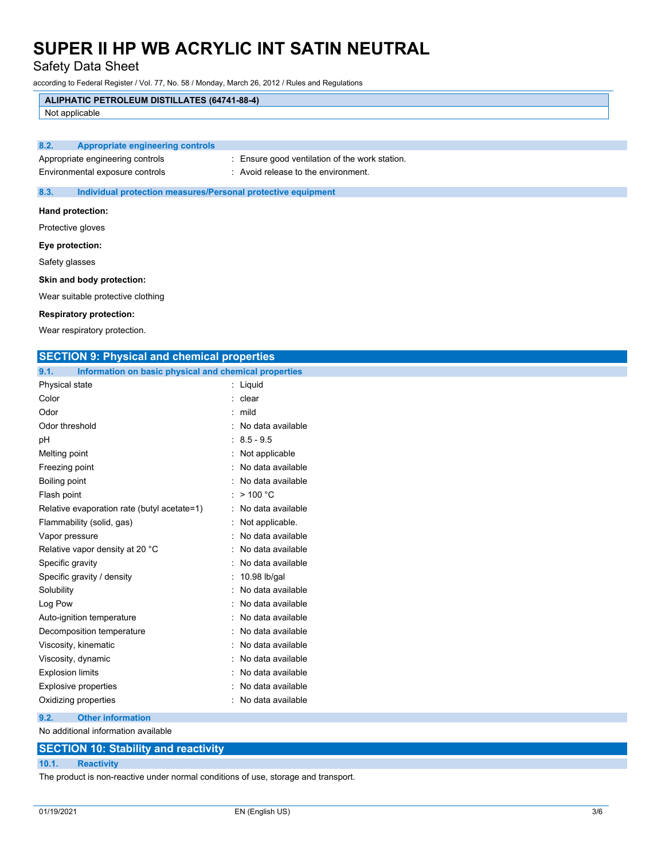Safety Data Sheet

according to Federal Register / Vol. 77, No. 58 / Monday, March 26, 2012 / Rules and Regulations

# **ALIPHATIC PETROLEUM DISTILLATES (64741-88-4)**

Not applicable

## **8.2. Appropriate engineering controls**

Appropriate engineering controls : Ensure good ventilation of the work station.

Environmental exposure controls : Avoid release to the environment.

## **8.3. Individual protection measures/Personal protective equipment**

### **Hand protection:**

Protective gloves

## **Eye protection:**

Safety glasses

## **Skin and body protection:**

Wear suitable protective clothing

#### **Respiratory protection:**

Wear respiratory protection.

| <b>SECTION 9: Physical and chemical properties</b>            |                     |
|---------------------------------------------------------------|---------------------|
| 9.1.<br>Information on basic physical and chemical properties |                     |
| Physical state                                                | : Liquid            |
| Color                                                         | clear               |
| Odor                                                          | $:$ mild            |
| Odor threshold                                                | No data available   |
| рH                                                            | $8.5 - 9.5$         |
| Melting point                                                 | Not applicable      |
| Freezing point                                                | No data available   |
| Boiling point                                                 | No data available   |
| Flash point                                                   | : $> 100 °C$        |
| Relative evaporation rate (butyl acetate=1)                   | : No data available |
| Flammability (solid, gas)                                     | Not applicable.     |
| Vapor pressure                                                | No data available   |
| Relative vapor density at 20 °C                               | No data available   |
| Specific gravity                                              | No data available   |
| Specific gravity / density                                    | 10.98 lb/gal        |
| Solubility                                                    | No data available   |
| Log Pow                                                       | No data available   |
| Auto-ignition temperature                                     | No data available   |
| Decomposition temperature                                     | No data available   |
| Viscosity, kinematic                                          | No data available   |
| Viscosity, dynamic                                            | No data available   |
| <b>Explosion limits</b>                                       | No data available   |
| <b>Explosive properties</b>                                   | No data available   |
| Oxidizing properties                                          | : No data available |
| 9.2.<br><b>Other information</b>                              |                     |

No additional information available

## **SECTION 10: Stability and reactivity**

**10.1. Reactivity**

The product is non-reactive under normal conditions of use, storage and transport.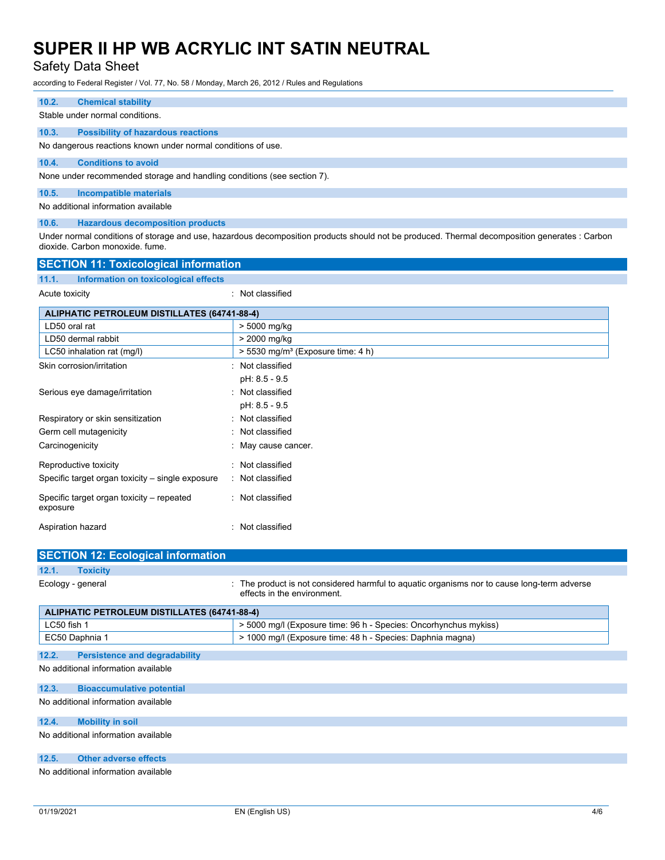# Safety Data Sheet

according to Federal Register / Vol. 77, No. 58 / Monday, March 26, 2012 / Rules and Regulations

| 10.2. | <b>Chemical stability</b>                                               |  |  |  |
|-------|-------------------------------------------------------------------------|--|--|--|
|       | Stable under normal conditions.                                         |  |  |  |
| 10.3. | <b>Possibility of hazardous reactions</b>                               |  |  |  |
|       | No dangerous reactions known under normal conditions of use.            |  |  |  |
| 10.4. | <b>Conditions to avoid</b>                                              |  |  |  |
|       | None under recommended storage and handling conditions (see section 7). |  |  |  |
| 10.5. | Incompatible materials                                                  |  |  |  |
|       | No additional information available                                     |  |  |  |
| 10.6. | <b>Hazardous decomposition products</b>                                 |  |  |  |

Under normal conditions of storage and use, hazardous decomposition products should not be produced. Thermal decomposition generates : Carbon dioxide. Carbon monoxide. fume.

| <b>SECTION 11: Toxicological information</b>          |                                                 |  |  |
|-------------------------------------------------------|-------------------------------------------------|--|--|
| 11.1.<br>Information on toxicological effects         |                                                 |  |  |
| Acute toxicity                                        | : Not classified                                |  |  |
| <b>ALIPHATIC PETROLEUM DISTILLATES (64741-88-4)</b>   |                                                 |  |  |
| LD50 oral rat                                         | > 5000 mg/kg                                    |  |  |
| LD50 dermal rabbit                                    | > 2000 mg/kg                                    |  |  |
| LC50 inhalation rat (mg/l)                            | $>$ 5530 mg/m <sup>3</sup> (Exposure time: 4 h) |  |  |
| Skin corrosion/irritation                             | : Not classified                                |  |  |
|                                                       | pH: 8.5 - 9.5                                   |  |  |
| Serious eye damage/irritation                         | : Not classified                                |  |  |
|                                                       | pH: 8.5 - 9.5                                   |  |  |
| Respiratory or skin sensitization                     | : Not classified                                |  |  |
| Germ cell mutagenicity                                | : Not classified                                |  |  |
| Carcinogenicity                                       | : May cause cancer.                             |  |  |
| Reproductive toxicity                                 | : Not classified                                |  |  |
| Specific target organ toxicity – single exposure      | : Not classified                                |  |  |
| Specific target organ toxicity – repeated<br>exposure | : Not classified                                |  |  |
| Aspiration hazard                                     | : Not classified                                |  |  |

| <b>SECTION 12: Ecological information</b>    |                                                                                                                            |  |  |
|----------------------------------------------|----------------------------------------------------------------------------------------------------------------------------|--|--|
| 12.1.<br><b>Toxicity</b>                     |                                                                                                                            |  |  |
| Ecology - general                            | : The product is not considered harmful to aquatic organisms nor to cause long-term adverse<br>effects in the environment. |  |  |
| ALIPHATIC PETROLEUM DISTILLATES (64741-88-4) |                                                                                                                            |  |  |
| LC50 fish 1                                  | > 5000 mg/l (Exposure time: 96 h - Species: Oncorhynchus mykiss)                                                           |  |  |

|                                     | EC50 Daphnia 1                       | > 1000 mg/l (Exposure time: 48 h - Species: Daphnia magna) |  |  |
|-------------------------------------|--------------------------------------|------------------------------------------------------------|--|--|
| 12.2.                               | <b>Persistence and degradability</b> |                                                            |  |  |
|                                     | No additional information available  |                                                            |  |  |
|                                     |                                      |                                                            |  |  |
| 12.3.                               | <b>Bioaccumulative potential</b>     |                                                            |  |  |
|                                     | No additional information available  |                                                            |  |  |
| 12.4.                               | <b>Mobility in soil</b>              |                                                            |  |  |
| No additional information available |                                      |                                                            |  |  |
|                                     |                                      |                                                            |  |  |
| 12.5.                               | <b>Other adverse effects</b>         |                                                            |  |  |

No additional information available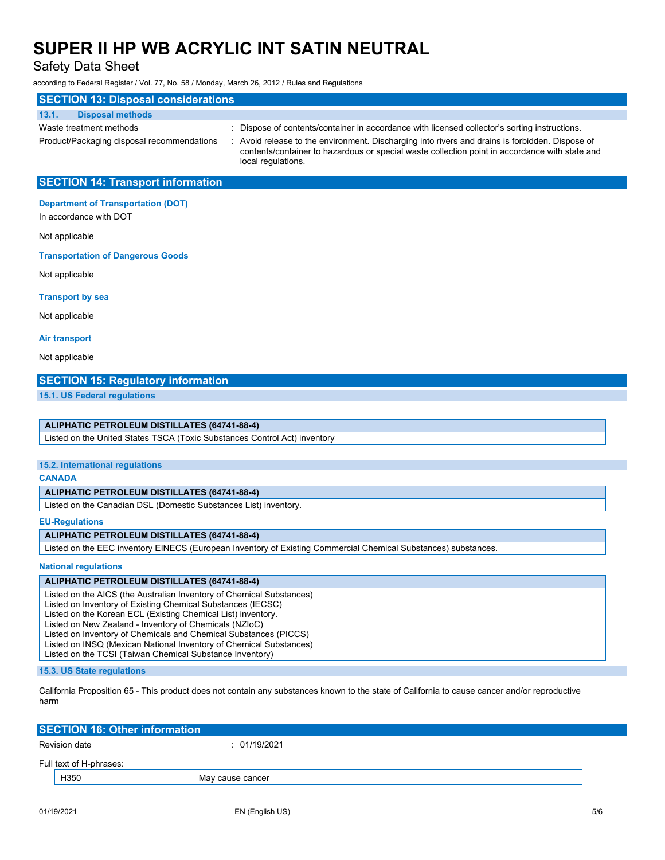local regulations.

Safety Data Sheet

according to Federal Register / Vol. 77, No. 58 / Monday, March 26, 2012 / Rules and Regulations

# **SECTION 13: Disposal considerations**

### **13.1. Disposal methods**

- 
- 
- Waste treatment methods : Dispose of contents/container in accordance with licensed collector's sorting instructions. Product/Packaging disposal recommendations : Avoid release to the environment. Discharging into rivers and drains is forbidden. Dispose of contents/container to hazardous or special waste collection point in accordance with state and
- **SECTION 14: Transport information**

## **Department of Transportation (DOT)**

In accordance with DOT

Not applicable

**Transportation of Dangerous Goods**

Not applicable

**Transport by sea**

Not applicable

**Air transport**

Not applicable

## **SECTION 15: Regulatory information**

**15.1. US Federal regulations**

## **ALIPHATIC PETROLEUM DISTILLATES (64741-88-4)**

Listed on the United States TSCA (Toxic Substances Control Act) inventory

## **15.2. International regulations**

#### **CANADA**

### **ALIPHATIC PETROLEUM DISTILLATES (64741-88-4)**

Listed on the Canadian DSL (Domestic Substances List) inventory.

**EU-Regulations**

### **ALIPHATIC PETROLEUM DISTILLATES (64741-88-4)**

Listed on the EEC inventory EINECS (European Inventory of Existing Commercial Chemical Substances) substances.

### **National regulations**

### **ALIPHATIC PETROLEUM DISTILLATES (64741-88-4)**

Listed on the AICS (the Australian Inventory of Chemical Substances)

Listed on Inventory of Existing Chemical Substances (IECSC)

Listed on the Korean ECL (Existing Chemical List) inventory.

Listed on New Zealand - Inventory of Chemicals (NZIoC)

- Listed on Inventory of Chemicals and Chemical Substances (PICCS)
- Listed on INSQ (Mexican National Inventory of Chemical Substances) Listed on the TCSI (Taiwan Chemical Substance Inventory)

## **15.3. US State regulations**

California Proposition 65 - This product does not contain any substances known to the state of California to cause cancer and/or reproductive harm

| <b>SECTION 16: Other information</b> |               |                  |  |  |
|--------------------------------------|---------------|------------------|--|--|
|                                      | Revision date | : 01/19/2021     |  |  |
| Full text of H-phrases:              |               |                  |  |  |
|                                      | H350          | May cause cancer |  |  |
|                                      |               |                  |  |  |